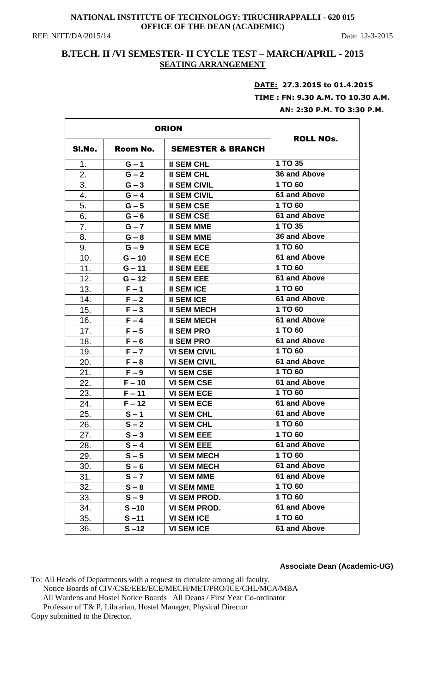#### **NATIONAL INSTITUTE OF TECHNOLOGY: TIRUCHIRAPPALLI - 620 015 OFFICE OF THE DEAN (ACADEMIC)**

REF: NITT/DA/2015/14 Date: 12-3-2015

## **B.TECH. II /VI SEMESTER- II CYCLE TEST – MARCH/APRIL - 2015 SEATING ARRANGEMENT**

# **DATE: 27.3.2015 to 01.4.2015**

 **TIME : FN: 9.30 A.M. TO 10.30 A.M. AN: 2:30 P.M. TO 3:30 P.M.** 

| <b>ORION</b> |          |                              |                     |
|--------------|----------|------------------------------|---------------------|
| SI.No.       | Room No. | <b>SEMESTER &amp; BRANCH</b> | <b>ROLL NOs.</b>    |
| 1.           | $G - 1$  | <b>II SEM CHL</b>            | 1 TO 35             |
| 2.           | $G - 2$  | <b>II SEM CHL</b>            | <b>36 and Above</b> |
| 3.           | $G - 3$  | <b>II SEM CIVIL</b>          | 1 TO 60             |
| 4.           | $G - 4$  | <b>II SEM CIVIL</b>          | <b>61 and Above</b> |
| 5.           | $G - 5$  | <b>II SEM CSE</b>            | 1 TO 60             |
| 6.           | $G - 6$  | <b>II SEM CSE</b>            | <b>61 and Above</b> |
| 7.           | $G - 7$  | <b>II SEM MME</b>            | 1 TO 35             |
| 8.           | $G - 8$  | <b>II SEM MME</b>            | 36 and Above        |
| 9.           | $G - 9$  | <b>II SEM ECE</b>            | 1 TO 60             |
| 10.          | $G - 10$ | <b>II SEM ECE</b>            | 61 and Above        |
| 11.          | $G - 11$ | <b>II SEM EEE</b>            | 1 TO 60             |
| 12.          | $G - 12$ | <b>II SEM EEE</b>            | 61 and Above        |
| 13.          | $F - 1$  | <b>II SEM ICE</b>            | 1 TO 60             |
| 14.          | $F - 2$  | <b>II SEM ICE</b>            | 61 and Above        |
| 15.          | $F - 3$  | <b>II SEM MECH</b>           | 1 TO 60             |
| 16.          | $F - 4$  | <b>II SEM MECH</b>           | <b>61 and Above</b> |
| 17.          | $F - 5$  | <b>II SEM PRO</b>            | 1 TO 60             |
| 18.          | $F - 6$  | <b>II SEM PRO</b>            | <b>61 and Above</b> |
| 19.          | $F - 7$  | <b>VI SEM CIVIL</b>          | 1 TO 60             |
| 20.          | $F - 8$  | <b>VI SEM CIVIL</b>          | <b>61 and Above</b> |
| 21.          | $F - 9$  | <b>VI SEM CSE</b>            | 1 TO 60             |
| 22.          | $F - 10$ | <b>VI SEM CSE</b>            | 61 and Above        |
| 23.          | $F - 11$ | <b>VI SEM ECE</b>            | 1 TO 60             |
| 24.          | $F - 12$ | <b>VI SEM ECE</b>            | 61 and Above        |
| 25.          | $S - 1$  | <b>VI SEM CHL</b>            | 61 and Above        |
| 26.          | $S - 2$  | <b>VI SEM CHL</b>            | 1 TO 60             |
| 27.          | $S - 3$  | <b>VI SEM EEE</b>            | 1 TO 60             |
| 28.          | $S - 4$  | <b>VI SEM EEE</b>            | 61 and Above        |
| 29.          | $S - 5$  | <b>VI SEM MECH</b>           | 1 TO 60             |
| 30.          | $S - 6$  | <b>VI SEM MECH</b>           | 61 and Above        |
| 31.          | $S - 7$  | <b>VI SEM MME</b>            | 61 and Above        |
| 32.          | $S - 8$  | <b>VI SEM MME</b>            | 1 TO 60             |
| 33.          | $S - 9$  | <b>VI SEM PROD.</b>          | 1 TO 60             |
| 34.          | $S - 10$ | <b>VI SEM PROD.</b>          | 61 and Above        |
| 35.          | $S - 11$ | <b>VI SEM ICE</b>            | 1 TO 60             |
| 36.          | $S - 12$ | <b>VI SEM ICE</b>            | 61 and Above        |

**Associate Dean (Academic-UG)**

To: All Heads of Departments with a request to circulate among all faculty. Notice Boards of CIV/CSE/EEE/ECE/MECH/MET/PRO/ICE/CHL/MCA/MBA All Wardens and Hostel Notice Boards All Deans / First Year Co-ordinator Professor of T& P, Librarian, Hostel Manager, Physical Director Copy submitted to the Director.